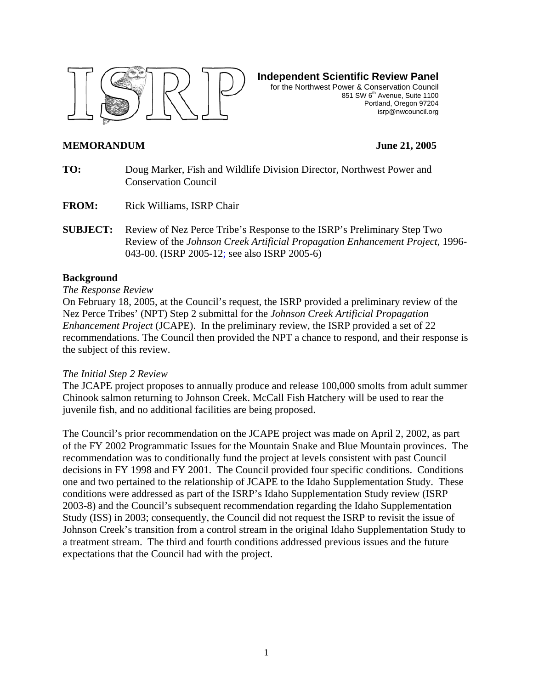

**Independent Scientific Review Panel**

for the Northwest Power & Conservation Council 851 SW 6<sup>th</sup> Avenue, Suite 1100 Portland, Oregon 97204 isrp@nwcouncil.org

#### **MEMORANDUM June 21, 2005**

- **TO:** Doug Marker, Fish and Wildlife Division Director, Northwest Power and Conservation Council
- **FROM:** Rick Williams, ISRP Chair
- **SUBJECT:** Review of Nez Perce Tribe's Response to the ISRP's Preliminary Step Two Review of the *Johnson Creek Artificial Propagation Enhancement Project*, 1996- 043-00. (ISRP 2005-12; see also ISRP 2005-6)

#### **Background**

#### *The Response Review*

On February 18, 2005, at the Council's request, the ISRP provided a preliminary review of the Nez Perce Tribes' (NPT) Step 2 submittal for the *Johnson Creek Artificial Propagation Enhancement Project* (JCAPE). In the preliminary review, the ISRP provided a set of 22 recommendations. The Council then provided the NPT a chance to respond, and their response is the subject of this review.

#### *The Initial Step 2 Review*

The JCAPE project proposes to annually produce and release 100,000 smolts from adult summer Chinook salmon returning to Johnson Creek. McCall Fish Hatchery will be used to rear the juvenile fish, and no additional facilities are being proposed.

The Council's prior recommendation on the JCAPE project was made on April 2, 2002, as part of the FY 2002 Programmatic Issues for the Mountain Snake and Blue Mountain provinces. The recommendation was to conditionally fund the project at levels consistent with past Council decisions in FY 1998 and FY 2001. The Council provided four specific conditions. Conditions one and two pertained to the relationship of JCAPE to the Idaho Supplementation Study. These conditions were addressed as part of the ISRP's Idaho Supplementation Study review (ISRP 2003-8) and the Council's subsequent recommendation regarding the Idaho Supplementation Study (ISS) in 2003; consequently, the Council did not request the ISRP to revisit the issue of Johnson Creek's transition from a control stream in the original Idaho Supplementation Study to a treatment stream. The third and fourth conditions addressed previous issues and the future expectations that the Council had with the project.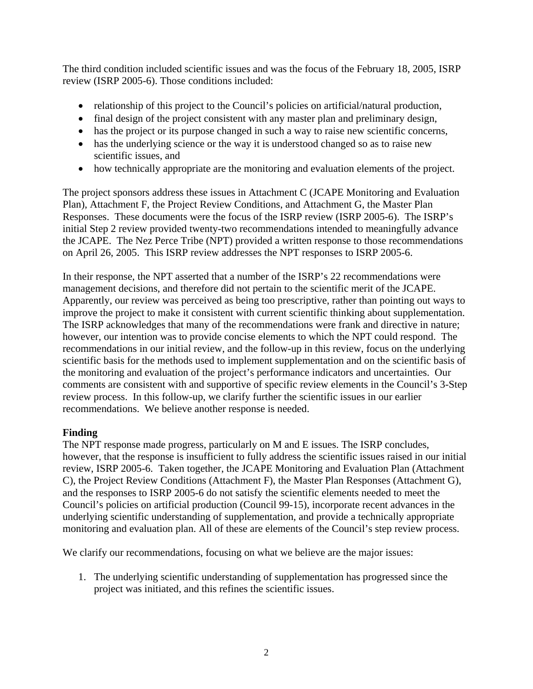The third condition included scientific issues and was the focus of the February 18, 2005, ISRP review (ISRP 2005-6). Those conditions included:

- relationship of this project to the Council's policies on artificial/natural production,
- final design of the project consistent with any master plan and preliminary design,
- has the project or its purpose changed in such a way to raise new scientific concerns,
- has the underlying science or the way it is understood changed so as to raise new scientific issues, and
- how technically appropriate are the monitoring and evaluation elements of the project.

The project sponsors address these issues in Attachment C (JCAPE Monitoring and Evaluation Plan), Attachment F, the Project Review Conditions, and Attachment G, the Master Plan Responses. These documents were the focus of the ISRP review (ISRP 2005-6). The ISRP's initial Step 2 review provided twenty-two recommendations intended to meaningfully advance the JCAPE. The Nez Perce Tribe (NPT) provided a written response to those recommendations on April 26, 2005. This ISRP review addresses the NPT responses to ISRP 2005-6.

In their response, the NPT asserted that a number of the ISRP's 22 recommendations were management decisions, and therefore did not pertain to the scientific merit of the JCAPE. Apparently, our review was perceived as being too prescriptive, rather than pointing out ways to improve the project to make it consistent with current scientific thinking about supplementation. The ISRP acknowledges that many of the recommendations were frank and directive in nature; however, our intention was to provide concise elements to which the NPT could respond. The recommendations in our initial review, and the follow-up in this review, focus on the underlying scientific basis for the methods used to implement supplementation and on the scientific basis of the monitoring and evaluation of the project's performance indicators and uncertainties. Our comments are consistent with and supportive of specific review elements in the Council's 3-Step review process. In this follow-up, we clarify further the scientific issues in our earlier recommendations. We believe another response is needed.

#### **Finding**

The NPT response made progress, particularly on M and E issues. The ISRP concludes, however, that the response is insufficient to fully address the scientific issues raised in our initial review, ISRP 2005-6. Taken together, the JCAPE Monitoring and Evaluation Plan (Attachment C), the Project Review Conditions (Attachment F), the Master Plan Responses (Attachment G), and the responses to ISRP 2005-6 do not satisfy the scientific elements needed to meet the Council's policies on artificial production (Council 99-15), incorporate recent advances in the underlying scientific understanding of supplementation, and provide a technically appropriate monitoring and evaluation plan. All of these are elements of the Council's step review process.

We clarify our recommendations, focusing on what we believe are the major issues:

1. The underlying scientific understanding of supplementation has progressed since the project was initiated, and this refines the scientific issues.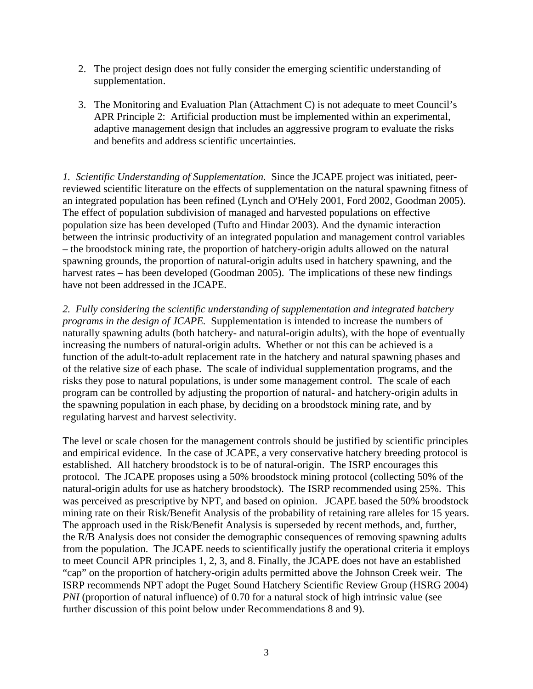- 2. The project design does not fully consider the emerging scientific understanding of supplementation.
- 3. The Monitoring and Evaluation Plan (Attachment C) is not adequate to meet Council's APR Principle 2: Artificial production must be implemented within an experimental, adaptive management design that includes an aggressive program to evaluate the risks and benefits and address scientific uncertainties.

*1. Scientific Understanding of Supplementation.* Since the JCAPE project was initiated, peerreviewed scientific literature on the effects of supplementation on the natural spawning fitness of an integrated population has been refined (Lynch and O'Hely 2001, Ford 2002, Goodman 2005). The effect of population subdivision of managed and harvested populations on effective population size has been developed (Tufto and Hindar 2003). And the dynamic interaction between the intrinsic productivity of an integrated population and management control variables – the broodstock mining rate, the proportion of hatchery-origin adults allowed on the natural spawning grounds, the proportion of natural-origin adults used in hatchery spawning, and the harvest rates – has been developed (Goodman 2005). The implications of these new findings have not been addressed in the JCAPE.

*2. Fully considering the scientific understanding of supplementation and integrated hatchery programs in the design of JCAPE.* Supplementation is intended to increase the numbers of naturally spawning adults (both hatchery- and natural-origin adults), with the hope of eventually increasing the numbers of natural-origin adults. Whether or not this can be achieved is a function of the adult-to-adult replacement rate in the hatchery and natural spawning phases and of the relative size of each phase. The scale of individual supplementation programs, and the risks they pose to natural populations, is under some management control. The scale of each program can be controlled by adjusting the proportion of natural- and hatchery-origin adults in the spawning population in each phase, by deciding on a broodstock mining rate, and by regulating harvest and harvest selectivity.

The level or scale chosen for the management controls should be justified by scientific principles and empirical evidence. In the case of JCAPE, a very conservative hatchery breeding protocol is established. All hatchery broodstock is to be of natural-origin. The ISRP encourages this protocol. The JCAPE proposes using a 50% broodstock mining protocol (collecting 50% of the natural-origin adults for use as hatchery broodstock). The ISRP recommended using 25%. This was perceived as prescriptive by NPT, and based on opinion. JCAPE based the 50% broodstock mining rate on their Risk/Benefit Analysis of the probability of retaining rare alleles for 15 years. The approach used in the Risk/Benefit Analysis is superseded by recent methods, and, further, the R/B Analysis does not consider the demographic consequences of removing spawning adults from the population. The JCAPE needs to scientifically justify the operational criteria it employs to meet Council APR principles 1, 2, 3, and 8. Finally, the JCAPE does not have an established "cap" on the proportion of hatchery-origin adults permitted above the Johnson Creek weir. The ISRP recommends NPT adopt the Puget Sound Hatchery Scientific Review Group (HSRG 2004) *PNI* (proportion of natural influence) of 0.70 for a natural stock of high intrinsic value (see further discussion of this point below under Recommendations 8 and 9).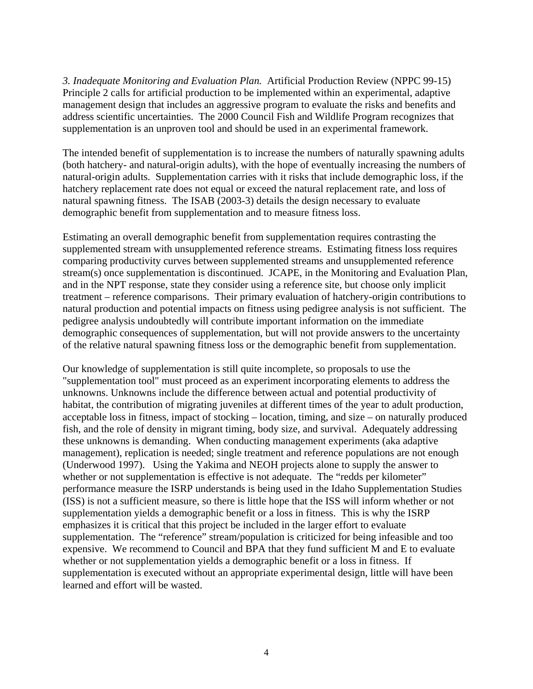*3. Inadequate Monitoring and Evaluation Plan.* Artificial Production Review (NPPC 99-15) Principle 2 calls for artificial production to be implemented within an experimental, adaptive management design that includes an aggressive program to evaluate the risks and benefits and address scientific uncertainties. The 2000 Council Fish and Wildlife Program recognizes that supplementation is an unproven tool and should be used in an experimental framework.

The intended benefit of supplementation is to increase the numbers of naturally spawning adults (both hatchery- and natural-origin adults), with the hope of eventually increasing the numbers of natural-origin adults. Supplementation carries with it risks that include demographic loss, if the hatchery replacement rate does not equal or exceed the natural replacement rate, and loss of natural spawning fitness. The ISAB (2003-3) details the design necessary to evaluate demographic benefit from supplementation and to measure fitness loss.

Estimating an overall demographic benefit from supplementation requires contrasting the supplemented stream with unsupplemented reference streams. Estimating fitness loss requires comparing productivity curves between supplemented streams and unsupplemented reference stream(s) once supplementation is discontinued. JCAPE, in the Monitoring and Evaluation Plan, and in the NPT response, state they consider using a reference site, but choose only implicit treatment – reference comparisons. Their primary evaluation of hatchery-origin contributions to natural production and potential impacts on fitness using pedigree analysis is not sufficient. The pedigree analysis undoubtedly will contribute important information on the immediate demographic consequences of supplementation, but will not provide answers to the uncertainty of the relative natural spawning fitness loss or the demographic benefit from supplementation.

Our knowledge of supplementation is still quite incomplete, so proposals to use the "supplementation tool" must proceed as an experiment incorporating elements to address the unknowns. Unknowns include the difference between actual and potential productivity of habitat, the contribution of migrating juveniles at different times of the year to adult production, acceptable loss in fitness, impact of stocking – location, timing, and size – on naturally produced fish, and the role of density in migrant timing, body size, and survival. Adequately addressing these unknowns is demanding. When conducting management experiments (aka adaptive management), replication is needed; single treatment and reference populations are not enough (Underwood 1997). Using the Yakima and NEOH projects alone to supply the answer to whether or not supplementation is effective is not adequate. The "redds per kilometer" performance measure the ISRP understands is being used in the Idaho Supplementation Studies (ISS) is not a sufficient measure, so there is little hope that the ISS will inform whether or not supplementation yields a demographic benefit or a loss in fitness. This is why the ISRP emphasizes it is critical that this project be included in the larger effort to evaluate supplementation. The "reference" stream/population is criticized for being infeasible and too expensive. We recommend to Council and BPA that they fund sufficient M and E to evaluate whether or not supplementation yields a demographic benefit or a loss in fitness. If supplementation is executed without an appropriate experimental design, little will have been learned and effort will be wasted.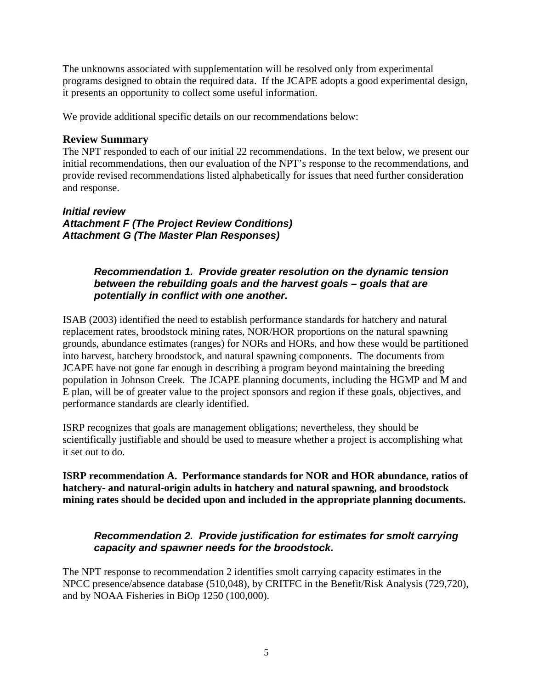The unknowns associated with supplementation will be resolved only from experimental programs designed to obtain the required data. If the JCAPE adopts a good experimental design, it presents an opportunity to collect some useful information.

We provide additional specific details on our recommendations below:

## **Review Summary**

The NPT responded to each of our initial 22 recommendations. In the text below, we present our initial recommendations, then our evaluation of the NPT's response to the recommendations, and provide revised recommendations listed alphabetically for issues that need further consideration and response.

*Initial review Attachment F (The Project Review Conditions) Attachment G (The Master Plan Responses)* 

## *Recommendation 1. Provide greater resolution on the dynamic tension between the rebuilding goals and the harvest goals – goals that are potentially in conflict with one another.*

ISAB (2003) identified the need to establish performance standards for hatchery and natural replacement rates, broodstock mining rates, NOR/HOR proportions on the natural spawning grounds, abundance estimates (ranges) for NORs and HORs, and how these would be partitioned into harvest, hatchery broodstock, and natural spawning components. The documents from JCAPE have not gone far enough in describing a program beyond maintaining the breeding population in Johnson Creek. The JCAPE planning documents, including the HGMP and M and E plan, will be of greater value to the project sponsors and region if these goals, objectives, and performance standards are clearly identified.

ISRP recognizes that goals are management obligations; nevertheless, they should be scientifically justifiable and should be used to measure whether a project is accomplishing what it set out to do.

**ISRP recommendation A. Performance standards for NOR and HOR abundance, ratios of hatchery- and natural-origin adults in hatchery and natural spawning, and broodstock mining rates should be decided upon and included in the appropriate planning documents.** 

## *Recommendation 2. Provide justification for estimates for smolt carrying capacity and spawner needs for the broodstock.*

The NPT response to recommendation 2 identifies smolt carrying capacity estimates in the NPCC presence/absence database (510,048), by CRITFC in the Benefit/Risk Analysis (729,720), and by NOAA Fisheries in BiOp 1250 (100,000).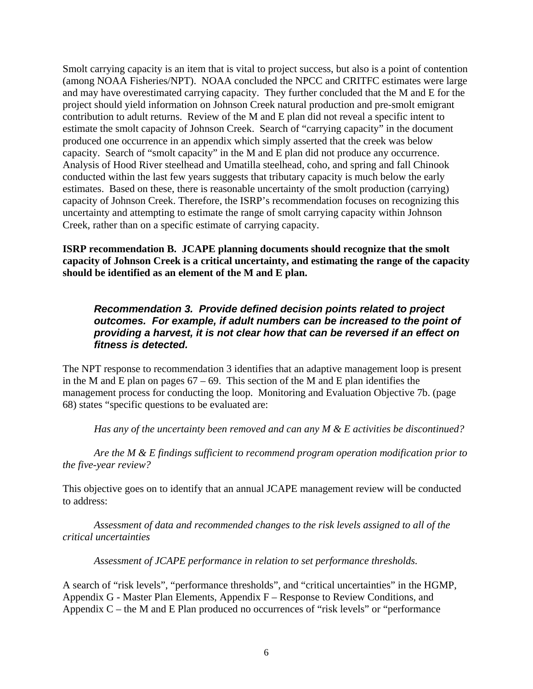Smolt carrying capacity is an item that is vital to project success, but also is a point of contention (among NOAA Fisheries/NPT). NOAA concluded the NPCC and CRITFC estimates were large and may have overestimated carrying capacity. They further concluded that the M and E for the project should yield information on Johnson Creek natural production and pre-smolt emigrant contribution to adult returns. Review of the M and E plan did not reveal a specific intent to estimate the smolt capacity of Johnson Creek. Search of "carrying capacity" in the document produced one occurrence in an appendix which simply asserted that the creek was below capacity. Search of "smolt capacity" in the M and E plan did not produce any occurrence. Analysis of Hood River steelhead and Umatilla steelhead, coho, and spring and fall Chinook conducted within the last few years suggests that tributary capacity is much below the early estimates. Based on these, there is reasonable uncertainty of the smolt production (carrying) capacity of Johnson Creek. Therefore, the ISRP's recommendation focuses on recognizing this uncertainty and attempting to estimate the range of smolt carrying capacity within Johnson Creek, rather than on a specific estimate of carrying capacity.

**ISRP recommendation B. JCAPE planning documents should recognize that the smolt capacity of Johnson Creek is a critical uncertainty, and estimating the range of the capacity should be identified as an element of the M and E plan.**

## *Recommendation 3. Provide defined decision points related to project outcomes. For example, if adult numbers can be increased to the point of providing a harvest, it is not clear how that can be reversed if an effect on fitness is detected.*

The NPT response to recommendation 3 identifies that an adaptive management loop is present in the M and E plan on pages  $67 - 69$ . This section of the M and E plan identifies the management process for conducting the loop. Monitoring and Evaluation Objective 7b. (page 68) states "specific questions to be evaluated are:

*Has any of the uncertainty been removed and can any M & E activities be discontinued?* 

 *Are the M & E findings sufficient to recommend program operation modification prior to the five-year review?* 

This objective goes on to identify that an annual JCAPE management review will be conducted to address:

*Assessment of data and recommended changes to the risk levels assigned to all of the critical uncertainties* 

 *Assessment of JCAPE performance in relation to set performance thresholds.* 

A search of "risk levels", "performance thresholds", and "critical uncertainties" in the HGMP, Appendix G - Master Plan Elements, Appendix F – Response to Review Conditions, and Appendix C – the M and E Plan produced no occurrences of "risk levels" or "performance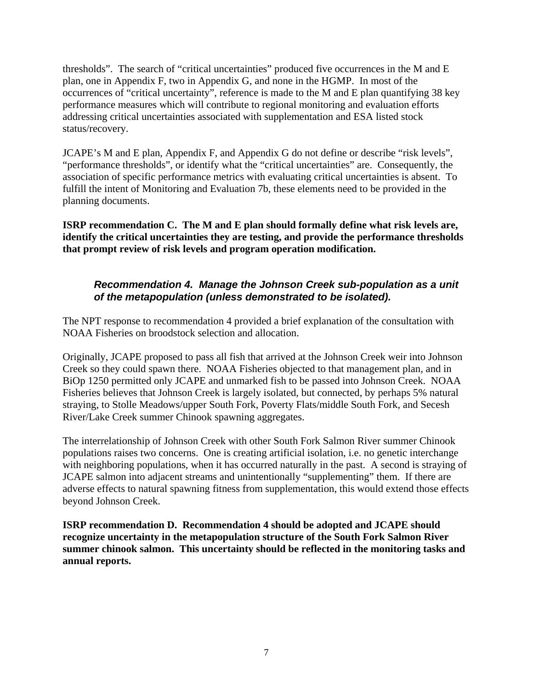thresholds". The search of "critical uncertainties" produced five occurrences in the M and E plan, one in Appendix F, two in Appendix G, and none in the HGMP. In most of the occurrences of "critical uncertainty", reference is made to the M and E plan quantifying 38 key performance measures which will contribute to regional monitoring and evaluation efforts addressing critical uncertainties associated with supplementation and ESA listed stock status/recovery.

JCAPE's M and E plan, Appendix F, and Appendix G do not define or describe "risk levels", "performance thresholds", or identify what the "critical uncertainties" are. Consequently, the association of specific performance metrics with evaluating critical uncertainties is absent. To fulfill the intent of Monitoring and Evaluation 7b, these elements need to be provided in the planning documents.

**ISRP recommendation C. The M and E plan should formally define what risk levels are, identify the critical uncertainties they are testing, and provide the performance thresholds that prompt review of risk levels and program operation modification.** 

## *Recommendation 4. Manage the Johnson Creek sub-population as a unit of the metapopulation (unless demonstrated to be isolated).*

The NPT response to recommendation 4 provided a brief explanation of the consultation with NOAA Fisheries on broodstock selection and allocation.

Originally, JCAPE proposed to pass all fish that arrived at the Johnson Creek weir into Johnson Creek so they could spawn there. NOAA Fisheries objected to that management plan, and in BiOp 1250 permitted only JCAPE and unmarked fish to be passed into Johnson Creek. NOAA Fisheries believes that Johnson Creek is largely isolated, but connected, by perhaps 5% natural straying, to Stolle Meadows/upper South Fork, Poverty Flats/middle South Fork, and Secesh River/Lake Creek summer Chinook spawning aggregates.

The interrelationship of Johnson Creek with other South Fork Salmon River summer Chinook populations raises two concerns. One is creating artificial isolation, i.e. no genetic interchange with neighboring populations, when it has occurred naturally in the past. A second is straying of JCAPE salmon into adjacent streams and unintentionally "supplementing" them. If there are adverse effects to natural spawning fitness from supplementation, this would extend those effects beyond Johnson Creek.

**ISRP recommendation D. Recommendation 4 should be adopted and JCAPE should recognize uncertainty in the metapopulation structure of the South Fork Salmon River summer chinook salmon. This uncertainty should be reflected in the monitoring tasks and annual reports.**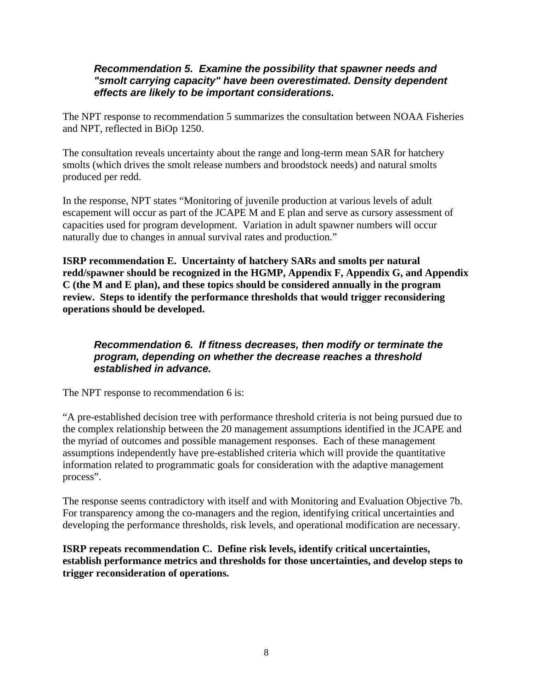#### *Recommendation 5. Examine the possibility that spawner needs and "smolt carrying capacity" have been overestimated. Density dependent effects are likely to be important considerations.*

The NPT response to recommendation 5 summarizes the consultation between NOAA Fisheries and NPT, reflected in BiOp 1250.

The consultation reveals uncertainty about the range and long-term mean SAR for hatchery smolts (which drives the smolt release numbers and broodstock needs) and natural smolts produced per redd.

In the response, NPT states "Monitoring of juvenile production at various levels of adult escapement will occur as part of the JCAPE M and E plan and serve as cursory assessment of capacities used for program development. Variation in adult spawner numbers will occur naturally due to changes in annual survival rates and production."

**ISRP recommendation E. Uncertainty of hatchery SARs and smolts per natural redd/spawner should be recognized in the HGMP, Appendix F, Appendix G, and Appendix C (the M and E plan), and these topics should be considered annually in the program review. Steps to identify the performance thresholds that would trigger reconsidering operations should be developed.** 

## *Recommendation 6. If fitness decreases, then modify or terminate the program, depending on whether the decrease reaches a threshold established in advance.*

The NPT response to recommendation 6 is:

"A pre-established decision tree with performance threshold criteria is not being pursued due to the complex relationship between the 20 management assumptions identified in the JCAPE and the myriad of outcomes and possible management responses. Each of these management assumptions independently have pre-established criteria which will provide the quantitative information related to programmatic goals for consideration with the adaptive management process".

The response seems contradictory with itself and with Monitoring and Evaluation Objective 7b. For transparency among the co-managers and the region, identifying critical uncertainties and developing the performance thresholds, risk levels, and operational modification are necessary.

**ISRP repeats recommendation C. Define risk levels, identify critical uncertainties, establish performance metrics and thresholds for those uncertainties, and develop steps to trigger reconsideration of operations.**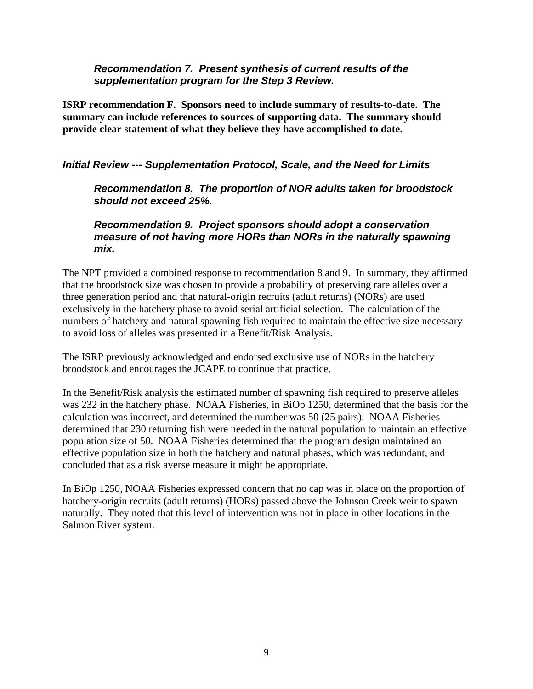#### *Recommendation 7. Present synthesis of current results of the supplementation program for the Step 3 Review.*

**ISRP recommendation F. Sponsors need to include summary of results-to-date. The summary can include references to sources of supporting data. The summary should provide clear statement of what they believe they have accomplished to date.**

## *Initial Review --- Supplementation Protocol, Scale, and the Need for Limits*

*Recommendation 8. The proportion of NOR adults taken for broodstock should not exceed 25%.* 

*Recommendation 9. Project sponsors should adopt a conservation measure of not having more HORs than NORs in the naturally spawning mix.* 

The NPT provided a combined response to recommendation 8 and 9. In summary, they affirmed that the broodstock size was chosen to provide a probability of preserving rare alleles over a three generation period and that natural-origin recruits (adult returns) (NORs) are used exclusively in the hatchery phase to avoid serial artificial selection. The calculation of the numbers of hatchery and natural spawning fish required to maintain the effective size necessary to avoid loss of alleles was presented in a Benefit/Risk Analysis.

The ISRP previously acknowledged and endorsed exclusive use of NORs in the hatchery broodstock and encourages the JCAPE to continue that practice.

In the Benefit/Risk analysis the estimated number of spawning fish required to preserve alleles was 232 in the hatchery phase. NOAA Fisheries, in BiOp 1250, determined that the basis for the calculation was incorrect, and determined the number was 50 (25 pairs). NOAA Fisheries determined that 230 returning fish were needed in the natural population to maintain an effective population size of 50. NOAA Fisheries determined that the program design maintained an effective population size in both the hatchery and natural phases, which was redundant, and concluded that as a risk averse measure it might be appropriate.

In BiOp 1250, NOAA Fisheries expressed concern that no cap was in place on the proportion of hatchery-origin recruits (adult returns) (HORs) passed above the Johnson Creek weir to spawn naturally. They noted that this level of intervention was not in place in other locations in the Salmon River system.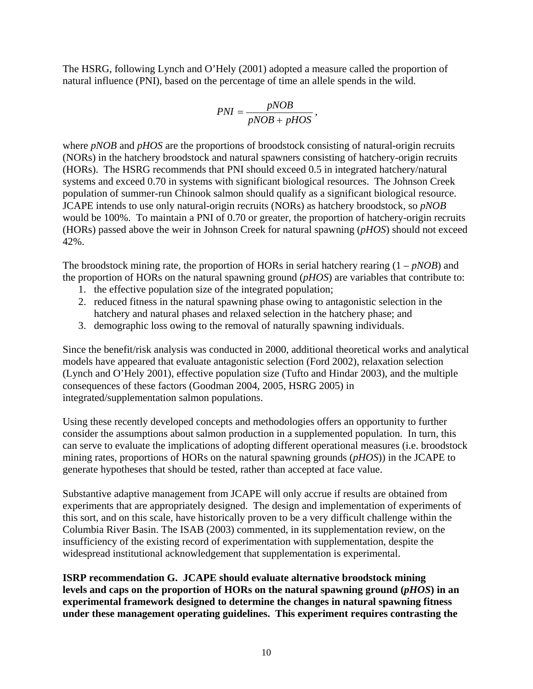The HSRG, following Lynch and O'Hely (2001) adopted a measure called the proportion of natural influence (PNI), based on the percentage of time an allele spends in the wild.

$$
PNI = \frac{pNOB}{pNOB + pHOS},
$$

where *pNOB* and *pHOS* are the proportions of broodstock consisting of natural-origin recruits (NORs) in the hatchery broodstock and natural spawners consisting of hatchery-origin recruits (HORs). The HSRG recommends that PNI should exceed 0.5 in integrated hatchery/natural systems and exceed 0.70 in systems with significant biological resources. The Johnson Creek population of summer-run Chinook salmon should qualify as a significant biological resource. JCAPE intends to use only natural-origin recruits (NORs) as hatchery broodstock, so *pNOB* would be 100%. To maintain a PNI of 0.70 or greater, the proportion of hatchery-origin recruits (HORs) passed above the weir in Johnson Creek for natural spawning (*pHOS*) should not exceed 42%.

The broodstock mining rate, the proportion of HORs in serial hatchery rearing (1 – *pNOB*) and the proportion of HORs on the natural spawning ground (*pHOS*) are variables that contribute to:

- 1. the effective population size of the integrated population;
- 2. reduced fitness in the natural spawning phase owing to antagonistic selection in the hatchery and natural phases and relaxed selection in the hatchery phase; and
- 3. demographic loss owing to the removal of naturally spawning individuals.

Since the benefit/risk analysis was conducted in 2000, additional theoretical works and analytical models have appeared that evaluate antagonistic selection (Ford 2002), relaxation selection (Lynch and O'Hely 2001), effective population size (Tufto and Hindar 2003), and the multiple consequences of these factors (Goodman 2004, 2005, HSRG 2005) in integrated/supplementation salmon populations.

Using these recently developed concepts and methodologies offers an opportunity to further consider the assumptions about salmon production in a supplemented population. In turn, this can serve to evaluate the implications of adopting different operational measures (i.e. broodstock mining rates, proportions of HORs on the natural spawning grounds (*pHOS*)) in the JCAPE to generate hypotheses that should be tested, rather than accepted at face value.

Substantive adaptive management from JCAPE will only accrue if results are obtained from experiments that are appropriately designed. The design and implementation of experiments of this sort, and on this scale, have historically proven to be a very difficult challenge within the Columbia River Basin. The ISAB (2003) commented, in its supplementation review, on the insufficiency of the existing record of experimentation with supplementation, despite the widespread institutional acknowledgement that supplementation is experimental.

**ISRP recommendation G. JCAPE should evaluate alternative broodstock mining levels and caps on the proportion of HORs on the natural spawning ground (***pHOS***) in an experimental framework designed to determine the changes in natural spawning fitness under these management operating guidelines. This experiment requires contrasting the**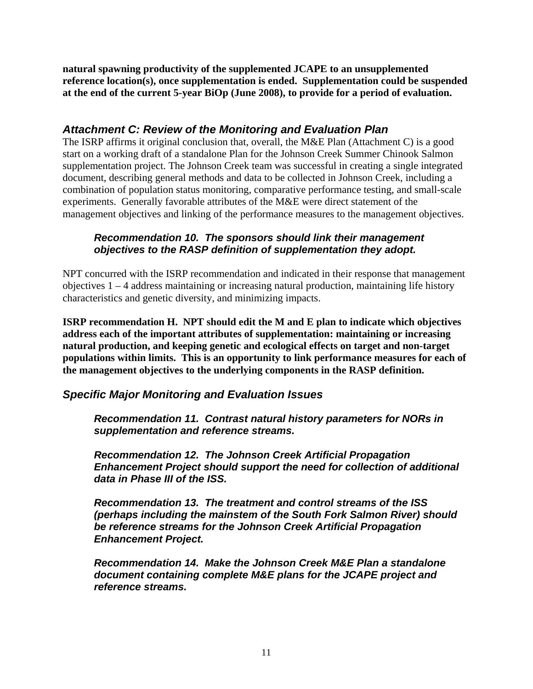**natural spawning productivity of the supplemented JCAPE to an unsupplemented reference location(s), once supplementation is ended. Supplementation could be suspended at the end of the current 5-year BiOp (June 2008), to provide for a period of evaluation.**

# *Attachment C: Review of the Monitoring and Evaluation Plan*

The ISRP affirms it original conclusion that, overall, the M&E Plan (Attachment C) is a good start on a working draft of a standalone Plan for the Johnson Creek Summer Chinook Salmon supplementation project. The Johnson Creek team was successful in creating a single integrated document, describing general methods and data to be collected in Johnson Creek, including a combination of population status monitoring, comparative performance testing, and small-scale experiments. Generally favorable attributes of the M&E were direct statement of the management objectives and linking of the performance measures to the management objectives.

## *Recommendation 10. The sponsors should link their management objectives to the RASP definition of supplementation they adopt.*

NPT concurred with the ISRP recommendation and indicated in their response that management objectives 1 – 4 address maintaining or increasing natural production, maintaining life history characteristics and genetic diversity, and minimizing impacts.

**ISRP recommendation H. NPT should edit the M and E plan to indicate which objectives address each of the important attributes of supplementation: maintaining or increasing natural production, and keeping genetic and ecological effects on target and non-target populations within limits. This is an opportunity to link performance measures for each of the management objectives to the underlying components in the RASP definition.** 

# *Specific Major Monitoring and Evaluation Issues*

*Recommendation 11. Contrast natural history parameters for NORs in supplementation and reference streams.*

*Recommendation 12. The Johnson Creek Artificial Propagation Enhancement Project should support the need for collection of additional data in Phase III of the ISS.* 

*Recommendation 13. The treatment and control streams of the ISS (perhaps including the mainstem of the South Fork Salmon River) should be reference streams for the Johnson Creek Artificial Propagation Enhancement Project.*

*Recommendation 14. Make the Johnson Creek M&E Plan a standalone document containing complete M&E plans for the JCAPE project and reference streams.*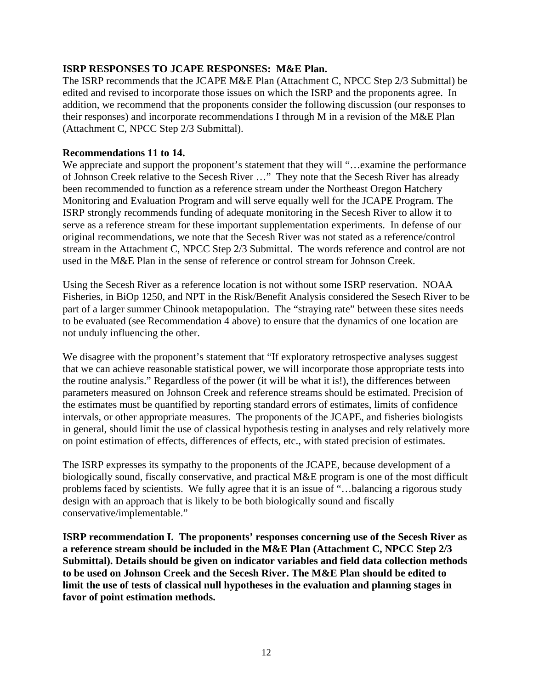#### **ISRP RESPONSES TO JCAPE RESPONSES: M&E Plan.**

The ISRP recommends that the JCAPE M&E Plan (Attachment C, NPCC Step 2/3 Submittal) be edited and revised to incorporate those issues on which the ISRP and the proponents agree. In addition, we recommend that the proponents consider the following discussion (our responses to their responses) and incorporate recommendations I through M in a revision of the M&E Plan (Attachment C, NPCC Step 2/3 Submittal).

#### **Recommendations 11 to 14.**

We appreciate and support the proponent's statement that they will "…examine the performance" of Johnson Creek relative to the Secesh River …" They note that the Secesh River has already been recommended to function as a reference stream under the Northeast Oregon Hatchery Monitoring and Evaluation Program and will serve equally well for the JCAPE Program. The ISRP strongly recommends funding of adequate monitoring in the Secesh River to allow it to serve as a reference stream for these important supplementation experiments. In defense of our original recommendations, we note that the Secesh River was not stated as a reference/control stream in the Attachment C, NPCC Step 2/3 Submittal. The words reference and control are not used in the M&E Plan in the sense of reference or control stream for Johnson Creek.

Using the Secesh River as a reference location is not without some ISRP reservation. NOAA Fisheries, in BiOp 1250, and NPT in the Risk/Benefit Analysis considered the Sesech River to be part of a larger summer Chinook metapopulation. The "straying rate" between these sites needs to be evaluated (see Recommendation 4 above) to ensure that the dynamics of one location are not unduly influencing the other.

We disagree with the proponent's statement that "If exploratory retrospective analyses suggest that we can achieve reasonable statistical power, we will incorporate those appropriate tests into the routine analysis." Regardless of the power (it will be what it is!), the differences between parameters measured on Johnson Creek and reference streams should be estimated. Precision of the estimates must be quantified by reporting standard errors of estimates, limits of confidence intervals, or other appropriate measures. The proponents of the JCAPE, and fisheries biologists in general, should limit the use of classical hypothesis testing in analyses and rely relatively more on point estimation of effects, differences of effects, etc., with stated precision of estimates.

The ISRP expresses its sympathy to the proponents of the JCAPE, because development of a biologically sound, fiscally conservative, and practical M&E program is one of the most difficult problems faced by scientists. We fully agree that it is an issue of "…balancing a rigorous study design with an approach that is likely to be both biologically sound and fiscally conservative/implementable."

**ISRP recommendation I. The proponents' responses concerning use of the Secesh River as a reference stream should be included in the M&E Plan (Attachment C, NPCC Step 2/3 Submittal). Details should be given on indicator variables and field data collection methods to be used on Johnson Creek and the Secesh River. The M&E Plan should be edited to limit the use of tests of classical null hypotheses in the evaluation and planning stages in favor of point estimation methods.**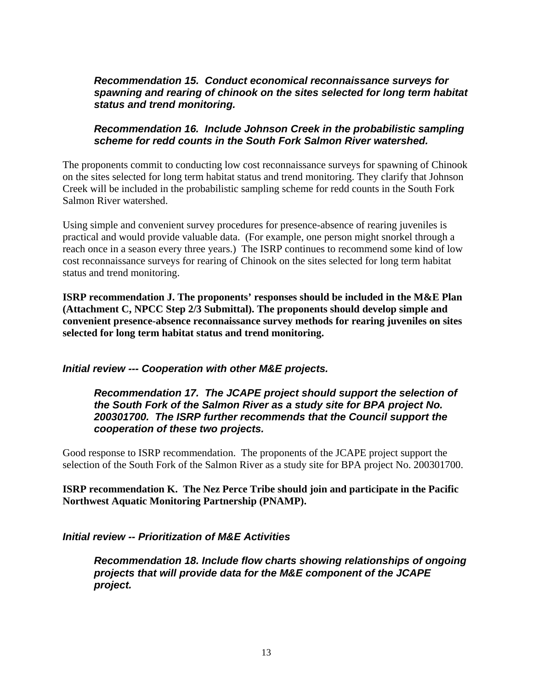#### *Recommendation 15. Conduct economical reconnaissance surveys for spawning and rearing of chinook on the sites selected for long term habitat status and trend monitoring.*

#### *Recommendation 16. Include Johnson Creek in the probabilistic sampling scheme for redd counts in the South Fork Salmon River watershed.*

The proponents commit to conducting low cost reconnaissance surveys for spawning of Chinook on the sites selected for long term habitat status and trend monitoring. They clarify that Johnson Creek will be included in the probabilistic sampling scheme for redd counts in the South Fork Salmon River watershed.

Using simple and convenient survey procedures for presence-absence of rearing juveniles is practical and would provide valuable data. (For example, one person might snorkel through a reach once in a season every three years.) The ISRP continues to recommend some kind of low cost reconnaissance surveys for rearing of Chinook on the sites selected for long term habitat status and trend monitoring.

**ISRP recommendation J. The proponents' responses should be included in the M&E Plan (Attachment C, NPCC Step 2/3 Submittal). The proponents should develop simple and convenient presence-absence reconnaissance survey methods for rearing juveniles on sites selected for long term habitat status and trend monitoring.** 

#### *Initial review --- Cooperation with other M&E projects.*

*Recommendation 17. The JCAPE project should support the selection of the South Fork of the Salmon River as a study site for BPA project No. 200301700. The ISRP further recommends that the Council support the cooperation of these two projects.* 

Good response to ISRP recommendation. The proponents of the JCAPE project support the selection of the South Fork of the Salmon River as a study site for BPA project No. 200301700.

**ISRP recommendation K. The Nez Perce Tribe should join and participate in the Pacific Northwest Aquatic Monitoring Partnership (PNAMP).** 

#### *Initial review -- Prioritization of M&E Activities*

*Recommendation 18. Include flow charts showing relationships of ongoing projects that will provide data for the M&E component of the JCAPE project.*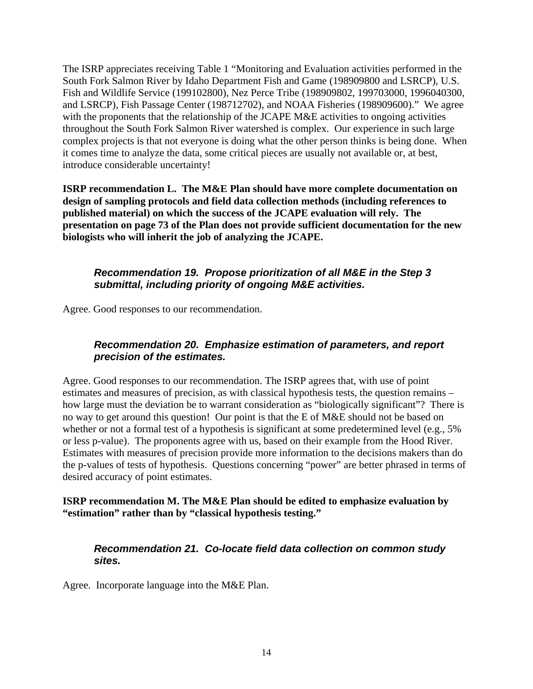The ISRP appreciates receiving Table 1 "Monitoring and Evaluation activities performed in the South Fork Salmon River by Idaho Department Fish and Game (198909800 and LSRCP), U.S. Fish and Wildlife Service (199102800), Nez Perce Tribe (198909802, 199703000, 1996040300, and LSRCP), Fish Passage Center (198712702), and NOAA Fisheries (198909600)." We agree with the proponents that the relationship of the JCAPE M&E activities to ongoing activities throughout the South Fork Salmon River watershed is complex. Our experience in such large complex projects is that not everyone is doing what the other person thinks is being done. When it comes time to analyze the data, some critical pieces are usually not available or, at best, introduce considerable uncertainty!

**ISRP recommendation L. The M&E Plan should have more complete documentation on design of sampling protocols and field data collection methods (including references to published material) on which the success of the JCAPE evaluation will rely. The presentation on page 73 of the Plan does not provide sufficient documentation for the new biologists who will inherit the job of analyzing the JCAPE.** 

#### *Recommendation 19. Propose prioritization of all M&E in the Step 3 submittal, including priority of ongoing M&E activities.*

Agree. Good responses to our recommendation.

## *Recommendation 20. Emphasize estimation of parameters, and report precision of the estimates.*

Agree. Good responses to our recommendation. The ISRP agrees that, with use of point estimates and measures of precision, as with classical hypothesis tests, the question remains – how large must the deviation be to warrant consideration as "biologically significant"? There is no way to get around this question! Our point is that the E of M&E should not be based on whether or not a formal test of a hypothesis is significant at some predetermined level (e.g., 5%) or less p-value). The proponents agree with us, based on their example from the Hood River. Estimates with measures of precision provide more information to the decisions makers than do the p-values of tests of hypothesis. Questions concerning "power" are better phrased in terms of desired accuracy of point estimates.

#### **ISRP recommendation M. The M&E Plan should be edited to emphasize evaluation by "estimation" rather than by "classical hypothesis testing."**

#### *Recommendation 21. Co-locate field data collection on common study sites.*

Agree. Incorporate language into the M&E Plan.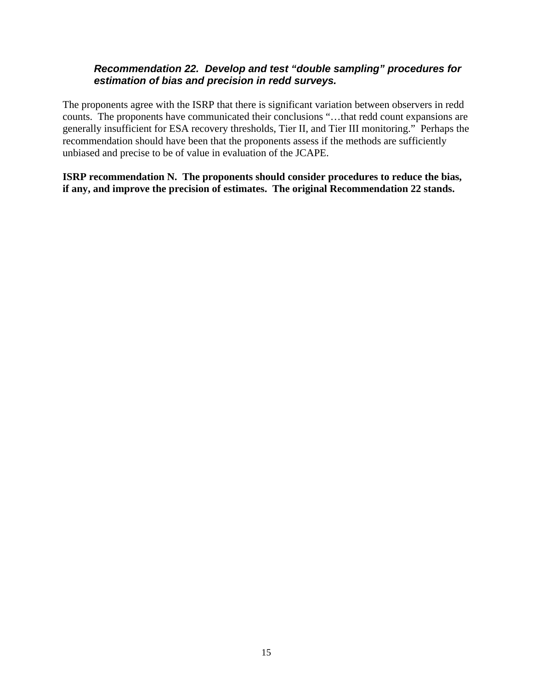## *Recommendation 22. Develop and test "double sampling" procedures for estimation of bias and precision in redd surveys.*

The proponents agree with the ISRP that there is significant variation between observers in redd counts. The proponents have communicated their conclusions "…that redd count expansions are generally insufficient for ESA recovery thresholds, Tier II, and Tier III monitoring." Perhaps the recommendation should have been that the proponents assess if the methods are sufficiently unbiased and precise to be of value in evaluation of the JCAPE.

**ISRP recommendation N. The proponents should consider procedures to reduce the bias, if any, and improve the precision of estimates. The original Recommendation 22 stands.**